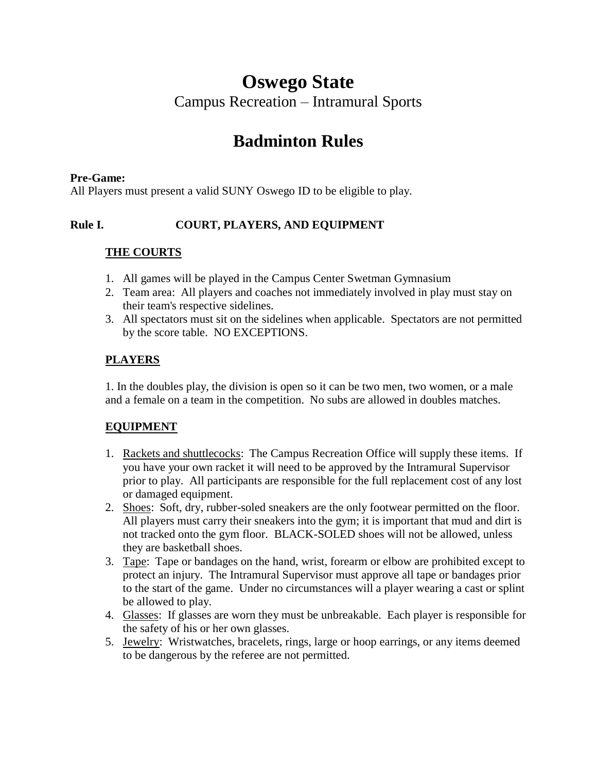# **Oswego State**

Campus Recreation – Intramural Sports

# **Badminton Rules**

#### **Pre-Game:**

All Players must present a valid SUNY Oswego ID to be eligible to play.

### **Rule I. COURT, PLAYERS, AND EQUIPMENT**

#### **THE COURTS**

- 1. All games will be played in the Campus Center Swetman Gymnasium
- 2. Team area: All players and coaches not immediately involved in play must stay on their team's respective sidelines.
- 3. All spectators must sit on the sidelines when applicable. Spectators are not permitted by the score table. NO EXCEPTIONS.

## **PLAYERS**

1. In the doubles play, the division is open so it can be two men, two women, or a male and a female on a team in the competition. No subs are allowed in doubles matches.

#### **EQUIPMENT**

- 1. Rackets and shuttlecocks: The Campus Recreation Office will supply these items. If you have your own racket it will need to be approved by the Intramural Supervisor prior to play. All participants are responsible for the full replacement cost of any lost or damaged equipment.
- 2. Shoes: Soft, dry, rubber-soled sneakers are the only footwear permitted on the floor. All players must carry their sneakers into the gym; it is important that mud and dirt is not tracked onto the gym floor. BLACK-SOLED shoes will not be allowed, unless they are basketball shoes.
- 3. Tape: Tape or bandages on the hand, wrist, forearm or elbow are prohibited except to protect an injury. The Intramural Supervisor must approve all tape or bandages prior to the start of the game. Under no circumstances will a player wearing a cast or splint be allowed to play.
- 4. Glasses: If glasses are worn they must be unbreakable. Each player is responsible for the safety of his or her own glasses.
- 5. Jewelry: Wristwatches, bracelets, rings, large or hoop earrings, or any items deemed to be dangerous by the referee are not permitted.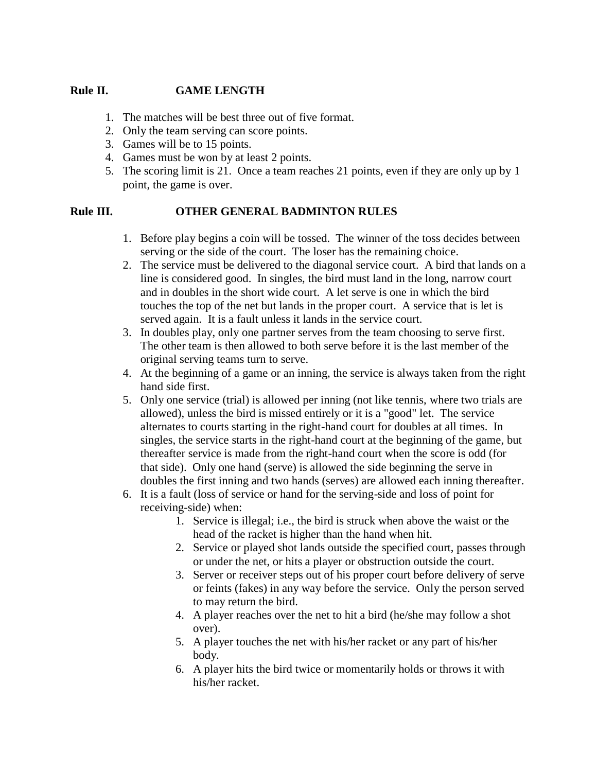#### **Rule II. GAME LENGTH**

- 1. The matches will be best three out of five format.
- 2. Only the team serving can score points.
- 3. Games will be to 15 points.
- 4. Games must be won by at least 2 points.
- 5. The scoring limit is 21. Once a team reaches 21 points, even if they are only up by 1 point, the game is over.

#### **Rule III. OTHER GENERAL BADMINTON RULES**

- 1. Before play begins a coin will be tossed. The winner of the toss decides between serving or the side of the court. The loser has the remaining choice.
- 2. The service must be delivered to the diagonal service court. A bird that lands on a line is considered good. In singles, the bird must land in the long, narrow court and in doubles in the short wide court. A let serve is one in which the bird touches the top of the net but lands in the proper court. A service that is let is served again. It is a fault unless it lands in the service court.
- 3. In doubles play, only one partner serves from the team choosing to serve first. The other team is then allowed to both serve before it is the last member of the original serving teams turn to serve.
- 4. At the beginning of a game or an inning, the service is always taken from the right hand side first.
- 5. Only one service (trial) is allowed per inning (not like tennis, where two trials are allowed), unless the bird is missed entirely or it is a "good" let. The service alternates to courts starting in the right-hand court for doubles at all times. In singles, the service starts in the right-hand court at the beginning of the game, but thereafter service is made from the right-hand court when the score is odd (for that side). Only one hand (serve) is allowed the side beginning the serve in doubles the first inning and two hands (serves) are allowed each inning thereafter.
- 6. It is a fault (loss of service or hand for the serving-side and loss of point for receiving-side) when:
	- 1. Service is illegal; i.e., the bird is struck when above the waist or the head of the racket is higher than the hand when hit.
	- 2. Service or played shot lands outside the specified court, passes through or under the net, or hits a player or obstruction outside the court.
	- 3. Server or receiver steps out of his proper court before delivery of serve or feints (fakes) in any way before the service. Only the person served to may return the bird.
	- 4. A player reaches over the net to hit a bird (he/she may follow a shot over).
	- 5. A player touches the net with his/her racket or any part of his/her body.
	- 6. A player hits the bird twice or momentarily holds or throws it with his/her racket.